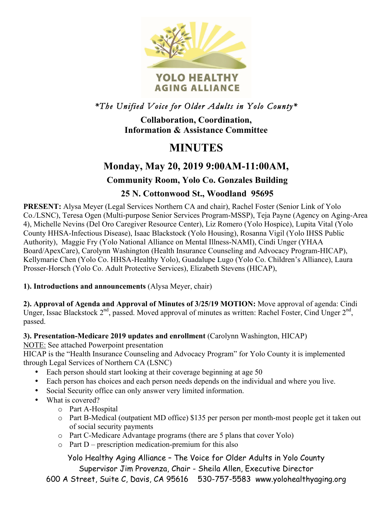

*\*The Unified Voice for Older Adults in Yolo County\** 

**Collaboration, Coordination, Information & Assistance Committee**

# **MINUTES**

# **Monday, May 20, 2019 9:00AM-11:00AM,**

# **Community Room, Yolo Co. Gonzales Building**

## **25 N. Cottonwood St., Woodland 95695**

**PRESENT:** Alysa Meyer (Legal Services Northern CA and chair), Rachel Foster (Senior Link of Yolo Co./LSNC), Teresa Ogen (Multi-purpose Senior Services Program-MSSP), Teja Payne (Agency on Aging-Area 4), Michelle Nevins (Del Oro Caregiver Resource Center), Liz Romero (Yolo Hospice), Lupita Vital (Yolo County HHSA-Infectious Disease), Isaac Blackstock (Yolo Housing), Rosanna Vigil (Yolo IHSS Public Authority), Maggie Fry (Yolo National Alliance on Mental Illness-NAMI), Cindi Unger (YHAA Board/ApexCare), Carolynn Washington (Health Insurance Counseling and Advocacy Program-HICAP), Kellymarie Chen (Yolo Co. HHSA-Healthy Yolo), Guadalupe Lugo (Yolo Co. Children's Alliance), Laura Prosser-Horsch (Yolo Co. Adult Protective Services), Elizabeth Stevens (HICAP),

**1). Introductions and announcements** (Alysa Meyer, chair)

**2). Approval of Agenda and Approval of Minutes of 3/25/19 MOTION:** Move approval of agenda: Cindi Unger, Issac Blackstock  $2^{nd}$ , passed. Moved approval of minutes as written: Rachel Foster, Cind Unger  $2^{nd}$ , passed.

### **3). Presentation-Medicare 2019 updates and enrollment** (Carolynn Washington, HICAP)

NOTE: See attached Powerpoint presentation

HICAP is the "Health Insurance Counseling and Advocacy Program" for Yolo County it is implemented through Legal Services of Northern CA (LSNC)

- Each person should start looking at their coverage beginning at age 50
- Each person has choices and each person needs depends on the individual and where you live.
- Social Security office can only answer very limited information.
- What is covered?
	- o Part A-Hospital
	- o Part B-Medical (outpatient MD office) \$135 per person per month-most people get it taken out of social security payments
	- o Part C-Medicare Advantage programs (there are 5 plans that cover Yolo)
	- $\circ$  Part D prescription medication-premium for this also

Yolo Healthy Aging Alliance – The Voice for Older Adults in Yolo County Supervisor Jim Provenza, Chair - Sheila Allen, Executive Director

600 A Street, Suite C, Davis, CA 95616 530-757-5583 www.yolohealthyaging.org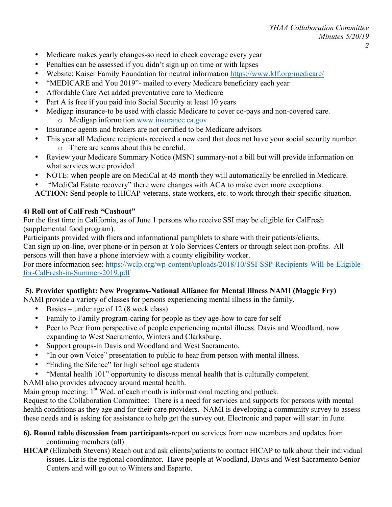- Medicare makes yearly changes-so need to check coverage every year
- Penalties can be assessed if you didn't sign up on time or with lapses
- Website: Kaiser Family Foundation for neutral information https://www.kff.org/medicare/
- "MEDICARE and You 2019"- mailed to every Medicare beneficiary each year
- Affordable Care Act added preventative care to Medicare
- Part A is free if you paid into Social Security at least 10 years
- Medigap insurance-to be used with classic Medicare to cover co-pays and non-covered care.
	- o Medigap information www.insurance.ca.gov
- Insurance agents and brokers are not certified to be Medicare advisors
- This year all Medicare recipients received a new card that does not have your social security number. o There are scams about this be careful.
- Review your Medicare Summary Notice (MSN) summary-not a bill but will provide information on what services were provided.
- NOTE: when people are on MediCal at 45 month they will automatically be enrolled in Medicare.
- "MediCal Estate recovery" there were changes with ACA to make even more exceptions.
- **ACTION:** Send people to HICAP-veterans, state workers, etc. to work through their specific situation.

### **4) Roll out of CalFresh "Cashout"**

For the first time in California, as of June 1 persons who receive SSI may be eligible for CalFresh (supplemental food program).

Participants provided with fliers and informational pamphlets to share with their patients/clients. Can sign up on-line, over phone or in person at Yolo Services Centers or through select non-profits. All persons will then have a phone interview with a county eligibility worker.

For more information see: https://wclp.org/wp-content/uploads/2018/10/SSI-SSP-Recipients-Will-be-Eligiblefor-CalFresh-in-Summer-2019.pdf

#### **5). Provider spotlight: New Programs-National Alliance for Mental Illness NAMI (Maggie Fry)**

NAMI provide a variety of classes for persons experiencing mental illness in the family.

- Basics under age of 12 (8 week class)
- Family to Family program-caring for people as they age-how to care for self
- Peer to Peer from perspective of people experiencing mental illness. Davis and Woodland, now expanding to West Sacramento, Winters and Clarksburg.
- Support groups-in Davis and Woodland and West Sacramento.
- "In our own Voice" presentation to public to hear from person with mental illness.
- "Ending the Silence" for high school age students
- "Mental health 101" opportunity to discuss mental health that is culturally competent.

NAMI also provides advocacy around mental health.

Main group meeting:  $1<sup>st</sup>$  Wed. of each month is informational meeting and potluck.

Request to the Collaboration Committee: There is a need for services and supports for persons with mental health conditions as they age and for their care providers. NAMI is developing a community survey to assess these needs and is asking for assistance to help get the survey out. Electronic and paper will start in June.

- **6). Round table discussion from participants**-report on services from new members and updates from continuing members (all)
- **HICAP** (Elizabeth Stevens) Reach out and ask clients/patients to contact HICAP to talk about their individual issues. Liz is the regional coordinator. Have people at Woodland, Davis and West Sacramento Senior Centers and will go out to Winters and Esparto.